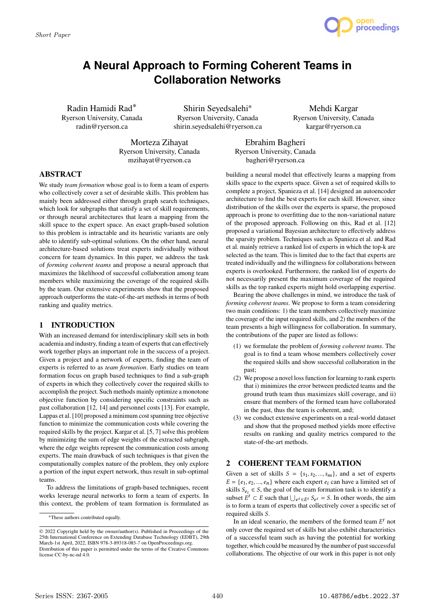

# **A Neural Approach to Forming Coherent Teams in Collaboration Networks**

Radin Hamidi Rad<sup>∗</sup> Ryerson University, Canada radin@ryerson.ca

Shirin Seyedsalehi<sup>∗</sup> Ryerson University, Canada shirin.seyedsalehi@ryerson.ca

Mehdi Kargar Ryerson University, Canada kargar@ryerson.ca

Morteza Zihayat Ryerson University, Canada mzihayat@ryerson.ca

Ebrahim Bagheri Ryerson University, Canada bagheri@ryerson.ca

# **ABSTRACT**

We study *team formation* whose goal is to form a team of experts who collectively cover a set of desirable skills. This problem has mainly been addressed either through graph search techniques, which look for subgraphs that satisfy a set of skill requirements, or through neural architectures that learn a mapping from the skill space to the expert space. An exact graph-based solution to this problem is intractable and its heuristic variants are only able to identify sub-optimal solutions. On the other hand, neural architecture-based solutions treat experts individually without concern for team dynamics. In this paper, we address the task of *forming coherent teams* and propose a neural approach that maximizes the likelihood of successful collaboration among team members while maximizing the coverage of the required skills by the team. Our extensive experiments show that the proposed approach outperforms the state-of-the-art methods in terms of both ranking and quality metrics.

# **1 INTRODUCTION**

With an increased demand for interdisciplinary skill sets in both academia and industry, finding a team of experts that can effectively work together plays an important role in the success of a project. Given a project and a network of experts, finding the team of experts is referred to as *team formation*. Early studies on team formation focus on graph based techniques to find a sub-graph of experts in which they collectively cover the required skills to accomplish the project. Such methods mainly optimize a monotone objective function by considering specific constraints such as past collaboration [12, 14] and personnel costs [13]. For example, Lappas et al. [10] proposed a minimum cost spanning tree objective function to minimize the communication costs while covering the required skills by the project. Kargar et al. [5, 7] solve this problem by minimizing the sum of edge weights of the extracted subgraph, where the edge weights represent the communication costs among experts. The main drawback of such techniques is that given the computationally complex nature of the problem, they only explore a portion of the input expert network, thus result in sub-optimal teams.

To address the limitations of graph-based techniques, recent works leverage neural networks to form a team of experts. In this context, the problem of team formation is formulated as

building a neural model that effectively learns a mapping from skills space to the experts space. Given a set of required skills to complete a project, Spanieza et al. [14] designed an autoencoder architecture to find the best experts for each skill. However, since distribution of the skills over the experts is sparse, the proposed approach is prone to overfitting due to the non-variational nature of the proposed approach. Following on this, Rad et al. [12] proposed a variational Bayesian architecture to effectively address the sparsity problem. Techniques such as Spanieza et al. and Rad et al. mainly retrieve a ranked list of experts in which the top-k are selected as the team. This is limited due to the fact that experts are treated individually and the willingness for collaborations between experts is overlooked. Furthermore, the ranked list of experts do not necessarily present the maximum coverage of the required skills as the top ranked experts might hold overlapping expertise.

Bearing the above challenges in mind, we introduce the task of *forming coherent teams*. We propose to form a team considering two main conditions: 1) the team members collectively maximize the coverage of the input required skills, and 2) the members of the team presents a high willingness for collaboration. In summary, the contributions of the paper are listed as follows:

- (1) we formulate the problem of *forming coherent teams*. The goal is to find a team whose members collectively cover the required skills and show successful collaboration in the past;
- (2) We propose a novel loss function for learning to rank experts that i) minimizes the error between predicted teams and the ground truth team thus maximizes skill coverage, and ii) ensure that members of the formed team have collaborated in the past, thus the team is coherent, and;
- (3) we conduct extensive experiments on a real-world dataset and show that the proposed method yields more effective results on ranking and quality metrics compared to the state-of-the-art methods.

# **2 COHERENT TEAM FORMATION**

Given a set of skills  $S = \{s_1, s_2, ..., s_m\}$ , and a set of experts  $E = \{e_1, e_2, ..., e_n\}$  where each expert  $e_i$  can have a limited set of skills  $S_{e_i} \in S$ , the goal of the team formation task is to identify a subset  $E^t \subset E$  such that  $\bigcup_{e^t \in E^t} S_{e^t} = S$ . In other words, the aim is to form a team of experts that collectively cover a specific set of required skills S.

In an ideal scenario, the members of the formed team  $E^t$  not only cover the required set of skills but also exhibit characteristics of a successful team such as having the potential for working together, which could be measured by the number of past successful collaborations. The objective of our work in this paper is not only

<sup>∗</sup>These authors contributed equally.

<sup>©</sup> 2022 Copyright held by the owner/author(s). Published in Proceedings of the 25th International Conference on Extending Database Technology (EDBT), 29th March-1st April, 2022, ISBN 978-3-89318-085-7 on OpenProceedings.org. Distribution of this paper is permitted under the terms of the Creative Commons license CC-by-nc-nd 4.0.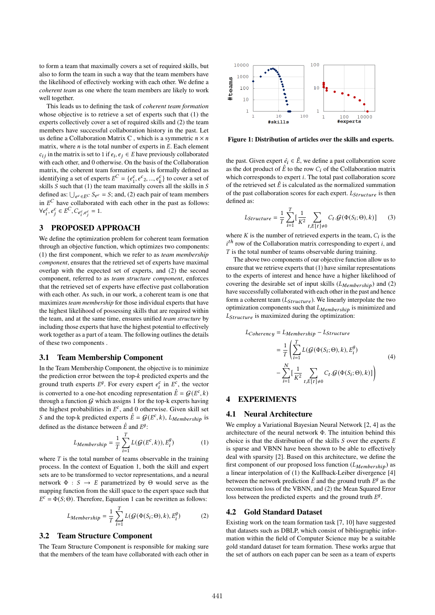to form a team that maximally covers a set of required skills, but also to form the team in such a way that the team members have the likelihood of effectively working with each other. We define a *coherent team* as one where the team members are likely to work well together.

This leads us to defining the task of *coherent team formation* whose objective is to retrieve a set of experts such that (1) the experts collectively cover a set of required skills and (2) the team members have successful collaboration history in the past. Let us define a Collaboration Matrix C, which is a symmetric  $n \times n$ matrix, where  $n$  is the total number of experts in  $E$ . Each element  $c_{ij}$  in the matrix is set to 1 if  $e_i, e_j \in E$  have previously collaborated with each other, and 0 otherwise. On the basis of the Collaboration matrix, the coherent team formation task is formally defined as identifying a set of experts  $E^C = \{e_1^c\}$  $\{e^c_1, e^c_2, ..., e^c_k\}$  to cover a set of skills  $S$  such that (1) the team maximally covers all the skills in  $S$ defined as:  $\bigcup_{e^c \in E^C} S_{e^c} = S$ ; and, (2) each pair of team members in  $E^C$  have collaborated with each other in the past as follows:  $\forall e_i^c, e_j^c \in E^C, C_{e_i^c, e_j^c} = 1.$ 

# **3 PROPOSED APPROACH**

We define the optimization problem for coherent team formation through an objective function, which optimizes two components: (1) the first component, which we refer to as *team membership component*, ensures that the retrieved set of experts have maximal overlap with the expected set of experts, and (2) the second component, referred to as *team structure component*, enforces that the retrieved set of experts have effective past collaboration with each other. As such, in our work, a coherent team is one that maximizes *team membership* for those individual experts that have the highest likelihood of possessing skills that are required within the team, and at the same time, ensures unified *team structure* by including those experts that have the highest potential to effectively work together as a part of a team. The following outlines the details of these two components .

#### **3.1 Team Membership Component**

In the Team Membership Component, the objective is to minimize the prediction error between the top-*k* predicted experts and the ground truth experts  $E^g$ . For every expert  $e_i^c$  in  $E^c$ , the vector is converted to a one-hot encoding representation  $\hat{E} = \mathcal{G}(E^c, k)$ through a function  $G$  which assigns 1 for the top-k experts having the highest probabilities in  $E^c$ , and 0 otherwise. Given skill set S and the top-k predicted experts  $\hat{E} = G(E^c, k)$ ,  $L_{Membership}$  is defined as the distance between  $\hat{E}$  and  $E^g$ :

$$
L_{Membership} = \frac{1}{T} \sum_{i=1}^{T} L(\mathcal{G}(E^c, k)), E_i^g)
$$
 (1)

where  $T$  is the total number of teams observable in the training process. In the context of Equation 1, both the skill and expert sets are to be transformed to vector representations, and a neural network  $\Phi : S \to E$  parametrized by  $\Theta$  would serve as the mapping function from the skill space to the expert space such that  $E^{c} = \Phi(S; \Theta)$ . Therefore, Equation 1 can be rewritten as follows:

$$
L_{Membership} = \frac{1}{T} \sum_{i=1}^{T} L(\mathcal{G}(\Phi(S_i; \Theta), k), E_i^g)
$$
 (2)

#### **3.2 Team Structure Component**

The Team Structure Component is responsible for making sure that the members of the team have collaborated with each other in



**Figure 1: Distribution of articles over the skills and experts.**

the past. Given expert  $\hat{e}_i \in \hat{E}$ , we define a past collaboration score as the dot product of  $\hat{E}$  to the row  $C_i$  of the Collaboration matrix which corresponds to expert  $i$ . The total past collaboration score of the retrieved set  $\hat{E}$  is calculated as the normalized summation of the past collaboration scores for each expert.  $L_{Structure}$  is then defined as:

$$
L_{Structure} = \frac{1}{T} \sum_{i=1}^{T} \left[ \frac{1}{K^2} \sum_{t, E[t] \neq 0} C_t \cdot \mathcal{G}(\Phi(S_i; \Theta), k) \right]
$$
(3)

where  $K$  is the number of retrieved experts in the team,  $C_i$  is the  $i<sup>th</sup>$  row of the Collaboration matrix corresponding to expert *i*, and  $T$  is the total number of teams observable during training.

The above two components of our objective function allow us to ensure that we retrieve experts that (1) have similar representations to the experts of interest and hence have a higher likelihood of covering the desirable set of input skills  $(L_{Membership})$  and (2) have successfully collaborated with each other in the past and hence form a coherent team  $(L_{Structure})$ . We linearly interpolate the two optimization components such that  $L_{Membership}$  is minimized and  $L_{Structure}$  is maximized during the optimization:

$$
L_{Coherency} = L_{Membership} - L_{Structure}
$$
  
= 
$$
\frac{1}{T} \left( \sum_{i=1}^{T} L(\mathcal{G}(\Phi(S_i; \Theta), k), E_i^g) - \sum_{i=1}^{N} \left[ \frac{1}{K^2} \sum_{t, E[t] \neq 0} C_t \cdot \mathcal{G}(\Phi(S_i; \Theta), k) \right] \right)
$$
(4)

# **4 EXPERIMENTS**

#### **4.1 Neural Architecture**

We employ a Variational Bayesian Neural Network [2, 4] as the architecture of the neural network Φ. The intuition behind this choice is that the distribution of the skills  $S$  over the experts  $E$ is sparse and VBNN have been shown to be able to effectively deal with sparsity [2]. Based on this architecture, we define the first component of our proposed loss function  $(L_{Membership})$  as a linear interpolation of (1) the Kullback-Leiber divergence [4] between the network prediction  $\hat{E}$  and the ground truth  $E^g$  as the reconstruction loss of the VBNN, and (2) the Mean Squared Error loss between the predicted experts and the ground truth  $E^g$ .

## **4.2 Gold Standard Dataset**

Existing work on the team formation task [7, 10] have suggested that datasets such as DBLP, which consist of bibliographic information within the field of Computer Science may be a suitable gold standard dataset for team formation. These works argue that the set of authors on each paper can be seen as a team of experts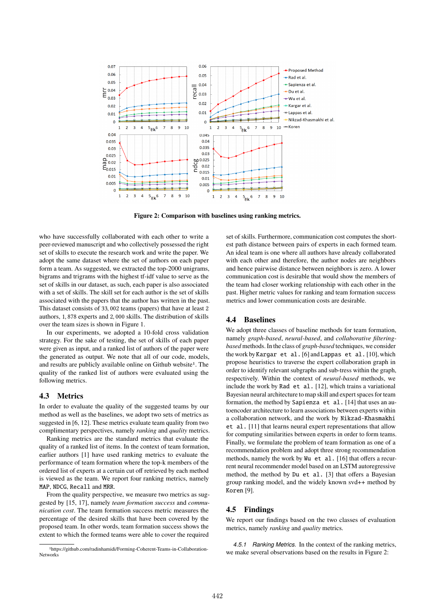

**Figure 2: Comparison with baselines using ranking metrics.**

who have successfully collaborated with each other to write a peer-reviewed manuscript and who collectively possessed the right set of skills to execute the research work and write the paper. We adopt the same dataset where the set of authors on each paper form a team. As suggested, we extracted the top-2000 unigrams, bigrams and trigrams with the highest tf-idf value to serve as the set of skills in our dataset, as such, each paper is also associated with a set of skills. The skill set for each author is the set of skills associated with the papers that the author has written in the past. This dataset consists of 33, 002 teams (papers) that have at least 2 authors, 1, 878 experts and 2, 000 skills. The distribution of skills over the team sizes is shown in Figure 1.

In our experiments, we adopted a 10-fold cross validation strategy. For the sake of testing, the set of skills of each paper were given as input, and a ranked list of authors of the paper were the generated as output. We note that all of our code, models, and results are publicly available online on Github website<sup>1</sup>. The quality of the ranked list of authors were evaluated using the following metrics.

## **4.3 Metrics**

In order to evaluate the quality of the suggested teams by our method as well as the baselines, we adopt two sets of metrics as suggested in [6, 12]. These metrics evaluate team quality from two complimentary perspectives, namely *ranking* and *quality* metrics.

Ranking metrics are the standard metrics that evaluate the quality of a ranked list of items. In the context of team formation, earlier authors [1] have used ranking metrics to evaluate the performance of team formation where the top-k members of the ordered list of experts at a certain cut off retrieved by each method is viewed as the team. We report four ranking metrics, namely MAP, NDCG, Recall and MRR.

From the quality perspective, we measure two metrics as suggested by [15, 17], namely *team formation success* and *communication cost*. The team formation success metric measures the percentage of the desired skills that have been covered by the proposed team. In other words, team formation success shows the extent to which the formed teams were able to cover the required

set of skills. Furthermore, communication cost computes the shortest path distance between pairs of experts in each formed team. An ideal team is one where all authors have already collaborated with each other and therefore, the author nodes are neighbors and hence pairwise distance between neighbors is zero. A lower communication cost is desirable that would show the members of the team had closer working relationship with each other in the past. Higher metric values for ranking and team formation success metrics and lower communication costs are desirable.

## **4.4 Baselines**

We adopt three classes of baseline methods for team formation, namely *graph-based*, *neural-based*, and *collaborative filteringbased* methods. In the class of *graph-based* techniques, we consider the work by Kargar et al. [6] and Lappas et al. [10], which propose heuristics to traverse the expert collaboration graph in order to identify relevant subgraphs and sub-tress within the graph, respectively. Within the context of *neural-based* methods, we include the work by Rad et al. [12], which trains a variational Bayesian neural architecture to map skill and expert spaces for team formation, the method by Sapienza et al. [14] that uses an autoencoder architecture to learn associations between experts within a collaboration network, and the work by Nikzad-Khasmakhi et al. [11] that learns neural expert representations that allow for computing similarities between experts in order to form teams. Finally, we formulate the problem of team formation as one of a recommendation problem and adopt three strong recommendation methods, namely the work by Wu et al. [16] that offers a recurrent neural recommender model based on an LSTM autoregressive method, the method by Du et al. [3] that offers a Bayesian group ranking model, and the widely known svd++ method by Koren [9].

## **4.5 Findings**

We report our findings based on the two classes of evaluation metrics, namely *ranking* and *quality* metrics.

*4.5.1 Ranking Metrics.* In the context of the ranking metrics, we make several observations based on the results in Figure 2:

<sup>1</sup>https://github.com/radinhamidi/Forming-Coherent-Teams-in-Collaboration-Networks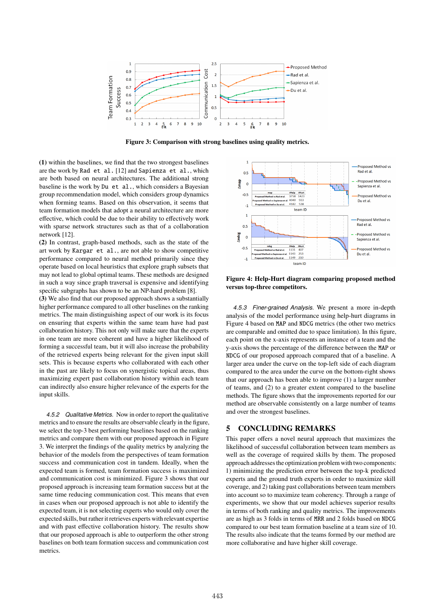

**Figure 3: Comparison with strong baselines using quality metrics.**

**(1)** within the baselines, we find that the two strongest baselines are the work by Rad et al. [12] and Sapienza et al., which are both based on neural architectures. The additional strong baseline is the work by Du et al., which considers a Bayesian group recommendation model, which considers group dynamics when forming teams. Based on this observation, it seems that team formation models that adopt a neural architecture are more effective, which could be due to their ability to effectively work with sparse network structures such as that of a collaboration network [12].

**(2)** In contrast, graph-based methods, such as the state of the art work by Kargar et al., are not able to show competitive performance compared to neural method primarily since they operate based on local heuristics that explore graph subsets that may not lead to global optimal teams. These methods are designed in such a way since graph traversal is expensive and identifying specific subgraphs has shown to be an NP-hard problem [8].

**(3)** We also find that our proposed approach shows a substantially higher performance compared to all other baselines on the ranking metrics. The main distinguishing aspect of our work is its focus on ensuring that experts within the same team have had past collaboration history. This not only will make sure that the experts in one team are more coherent and have a higher likelihood of forming a successful team, but it will also increase the probability of the retrieved experts being relevant for the given input skill sets. This is because experts who collaborated with each other in the past are likely to focus on synergistic topical areas, thus maximizing expert past collaboration history within each team can indirectly also ensure higher relevance of the experts for the input skills.

*4.5.2 Qualitative Metrics.* Now in order to report the qualitative metrics and to ensure the results are observable clearly in the figure, we select the top-3 best performing baselines based on the ranking metrics and compare them with our proposed approach in Figure 3. We interpret the findings of the quality metrics by analyzing the behavior of the models from the perspectives of team formation success and communication cost in tandem. Ideally, when the expected team is formed, team formation success is maximized and communication cost is minimized. Figure 3 shows that our proposed approach is increasing team formation success but at the same time reducing communication cost. This means that even in cases when our proposed approach is not able to identify the expected team, it is not selecting experts who would only cover the expected skills, but rather it retrieves experts with relevant expertise and with past effective collaboration history. The results show that our proposed approach is able to outperform the other strong baselines on both team formation success and communication cost metrics.



**Figure 4: Help-Hurt diagram comparing proposed method versus top-three competitors.**

*4.5.3 Finer-grained Analysis.* We present a more in-depth analysis of the model performance using help-hurt diagrams in Figure 4 based on MAP and NDCG metrics (the other two metrics are comparable and omitted due to space limitation). In this figure, each point on the x-axis represents an instance of a team and the y-axis shows the percentage of the difference between the MAP or NDCG of our proposed approach compared that of a baseline. A larger area under the curve on the top-left side of each diagram compared to the area under the curve on the bottom-right shows that our approach has been able to improve (1) a larger number of teams, and (2) to a greater extent compared to the baseline methods. The figure shows that the improvements reported for our method are observable consistently on a large number of teams and over the strongest baselines.

## **5 CONCLUDING REMARKS**

This paper offers a novel neural approach that maximizes the likelihood of successful collaboration between team members as well as the coverage of required skills by them. The proposed approach addresses the optimization problem with two components: 1) minimizing the prediction error between the top-k predicted experts and the ground truth experts in order to maximize skill coverage, and 2) taking past collaborations between team members into account so to maximize team coherency. Through a range of experiments, we show that our model achieves superior results in terms of both ranking and quality metrics. The improvements are as high as 3 folds in terms of MRR and 2 folds based on NDCG compared to our best team formation baseline at a team size of 10. The results also indicate that the teams formed by our method are more collaborative and have higher skill coverage.